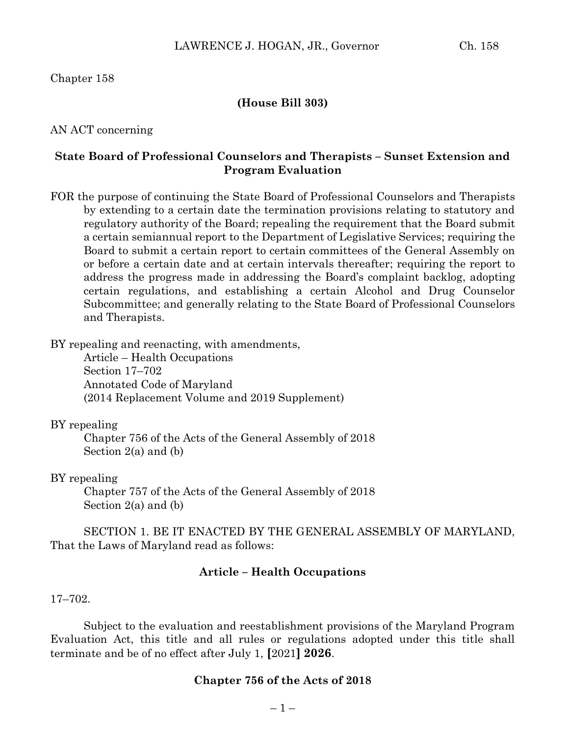# Chapter 158

## **(House Bill 303)**

## AN ACT concerning

# **State Board of Professional Counselors and Therapists – Sunset Extension and Program Evaluation**

FOR the purpose of continuing the State Board of Professional Counselors and Therapists by extending to a certain date the termination provisions relating to statutory and regulatory authority of the Board; repealing the requirement that the Board submit a certain semiannual report to the Department of Legislative Services; requiring the Board to submit a certain report to certain committees of the General Assembly on or before a certain date and at certain intervals thereafter; requiring the report to address the progress made in addressing the Board's complaint backlog, adopting certain regulations, and establishing a certain Alcohol and Drug Counselor Subcommittee; and generally relating to the State Board of Professional Counselors and Therapists.

BY repealing and reenacting, with amendments,

Article – Health Occupations Section 17–702 Annotated Code of Maryland (2014 Replacement Volume and 2019 Supplement)

### BY repealing

Chapter 756 of the Acts of the General Assembly of 2018 Section 2(a) and (b)

### BY repealing

Chapter 757 of the Acts of the General Assembly of 2018 Section 2(a) and (b)

SECTION 1. BE IT ENACTED BY THE GENERAL ASSEMBLY OF MARYLAND, That the Laws of Maryland read as follows:

## **Article – Health Occupations**

### 17–702.

Subject to the evaluation and reestablishment provisions of the Maryland Program Evaluation Act, this title and all rules or regulations adopted under this title shall terminate and be of no effect after July 1, **[**2021**] 2026**.

### **Chapter 756 of the Acts of 2018**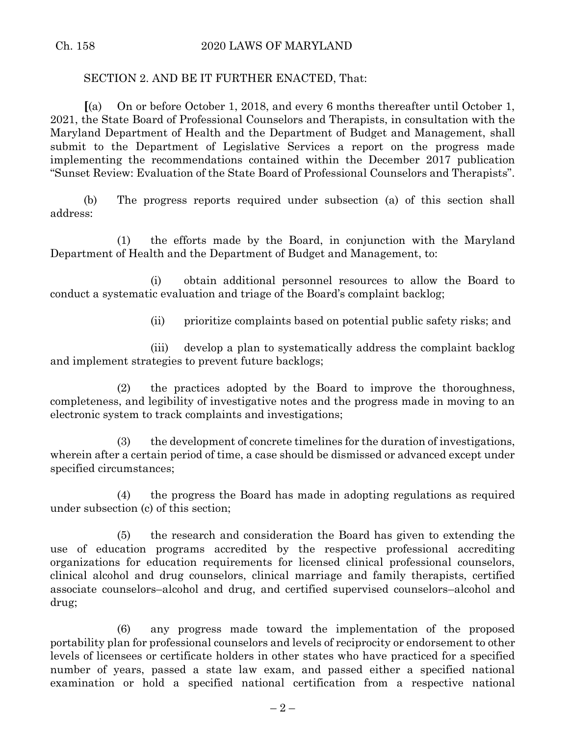# SECTION 2. AND BE IT FURTHER ENACTED, That:

**[**(a) On or before October 1, 2018, and every 6 months thereafter until October 1, 2021, the State Board of Professional Counselors and Therapists, in consultation with the Maryland Department of Health and the Department of Budget and Management, shall submit to the Department of Legislative Services a report on the progress made implementing the recommendations contained within the December 2017 publication "Sunset Review: Evaluation of the State Board of Professional Counselors and Therapists".

(b) The progress reports required under subsection (a) of this section shall address:

(1) the efforts made by the Board, in conjunction with the Maryland Department of Health and the Department of Budget and Management, to:

(i) obtain additional personnel resources to allow the Board to conduct a systematic evaluation and triage of the Board's complaint backlog;

(ii) prioritize complaints based on potential public safety risks; and

(iii) develop a plan to systematically address the complaint backlog and implement strategies to prevent future backlogs;

(2) the practices adopted by the Board to improve the thoroughness, completeness, and legibility of investigative notes and the progress made in moving to an electronic system to track complaints and investigations;

(3) the development of concrete timelines for the duration of investigations, wherein after a certain period of time, a case should be dismissed or advanced except under specified circumstances;

(4) the progress the Board has made in adopting regulations as required under subsection (c) of this section;

(5) the research and consideration the Board has given to extending the use of education programs accredited by the respective professional accrediting organizations for education requirements for licensed clinical professional counselors, clinical alcohol and drug counselors, clinical marriage and family therapists, certified associate counselors–alcohol and drug, and certified supervised counselors–alcohol and drug;

(6) any progress made toward the implementation of the proposed portability plan for professional counselors and levels of reciprocity or endorsement to other levels of licensees or certificate holders in other states who have practiced for a specified number of years, passed a state law exam, and passed either a specified national examination or hold a specified national certification from a respective national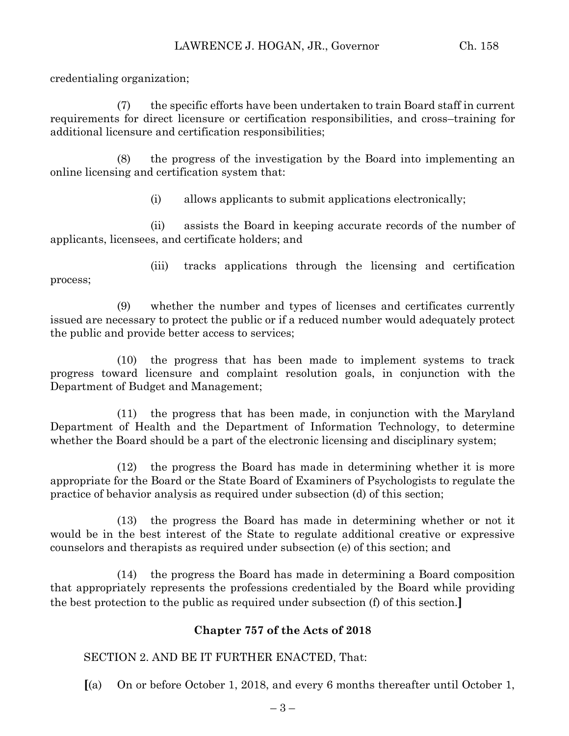credentialing organization;

(7) the specific efforts have been undertaken to train Board staff in current requirements for direct licensure or certification responsibilities, and cross–training for additional licensure and certification responsibilities;

(8) the progress of the investigation by the Board into implementing an online licensing and certification system that:

(i) allows applicants to submit applications electronically;

(ii) assists the Board in keeping accurate records of the number of applicants, licensees, and certificate holders; and

process;

(iii) tracks applications through the licensing and certification

(9) whether the number and types of licenses and certificates currently issued are necessary to protect the public or if a reduced number would adequately protect the public and provide better access to services;

(10) the progress that has been made to implement systems to track progress toward licensure and complaint resolution goals, in conjunction with the Department of Budget and Management;

(11) the progress that has been made, in conjunction with the Maryland Department of Health and the Department of Information Technology, to determine whether the Board should be a part of the electronic licensing and disciplinary system;

(12) the progress the Board has made in determining whether it is more appropriate for the Board or the State Board of Examiners of Psychologists to regulate the practice of behavior analysis as required under subsection (d) of this section;

(13) the progress the Board has made in determining whether or not it would be in the best interest of the State to regulate additional creative or expressive counselors and therapists as required under subsection (e) of this section; and

(14) the progress the Board has made in determining a Board composition that appropriately represents the professions credentialed by the Board while providing the best protection to the public as required under subsection (f) of this section.**]**

# **Chapter 757 of the Acts of 2018**

SECTION 2. AND BE IT FURTHER ENACTED, That:

**[**(a) On or before October 1, 2018, and every 6 months thereafter until October 1,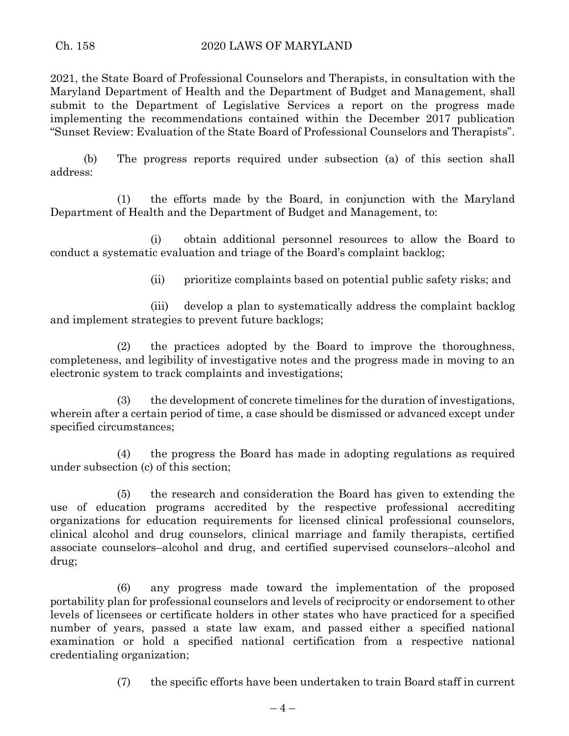2021, the State Board of Professional Counselors and Therapists, in consultation with the Maryland Department of Health and the Department of Budget and Management, shall submit to the Department of Legislative Services a report on the progress made implementing the recommendations contained within the December 2017 publication "Sunset Review: Evaluation of the State Board of Professional Counselors and Therapists".

(b) The progress reports required under subsection (a) of this section shall address:

(1) the efforts made by the Board, in conjunction with the Maryland Department of Health and the Department of Budget and Management, to:

(i) obtain additional personnel resources to allow the Board to conduct a systematic evaluation and triage of the Board's complaint backlog;

(ii) prioritize complaints based on potential public safety risks; and

(iii) develop a plan to systematically address the complaint backlog and implement strategies to prevent future backlogs;

(2) the practices adopted by the Board to improve the thoroughness, completeness, and legibility of investigative notes and the progress made in moving to an electronic system to track complaints and investigations;

(3) the development of concrete timelines for the duration of investigations, wherein after a certain period of time, a case should be dismissed or advanced except under specified circumstances;

(4) the progress the Board has made in adopting regulations as required under subsection (c) of this section;

(5) the research and consideration the Board has given to extending the use of education programs accredited by the respective professional accrediting organizations for education requirements for licensed clinical professional counselors, clinical alcohol and drug counselors, clinical marriage and family therapists, certified associate counselors–alcohol and drug, and certified supervised counselors–alcohol and drug;

(6) any progress made toward the implementation of the proposed portability plan for professional counselors and levels of reciprocity or endorsement to other levels of licensees or certificate holders in other states who have practiced for a specified number of years, passed a state law exam, and passed either a specified national examination or hold a specified national certification from a respective national credentialing organization;

(7) the specific efforts have been undertaken to train Board staff in current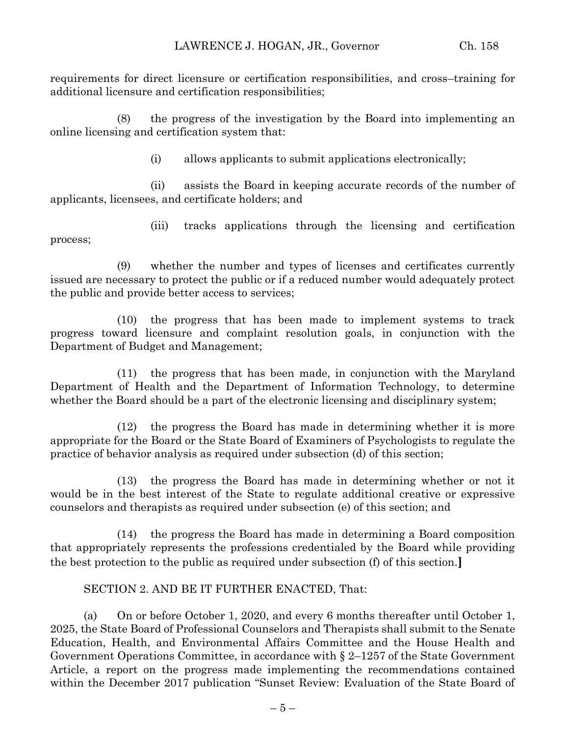requirements for direct licensure or certification responsibilities, and cross–training for additional licensure and certification responsibilities;

(8) the progress of the investigation by the Board into implementing an online licensing and certification system that:

(i) allows applicants to submit applications electronically;

(ii) assists the Board in keeping accurate records of the number of applicants, licensees, and certificate holders; and

(iii) tracks applications through the licensing and certification process;

(9) whether the number and types of licenses and certificates currently issued are necessary to protect the public or if a reduced number would adequately protect the public and provide better access to services;

(10) the progress that has been made to implement systems to track progress toward licensure and complaint resolution goals, in conjunction with the Department of Budget and Management;

(11) the progress that has been made, in conjunction with the Maryland Department of Health and the Department of Information Technology, to determine whether the Board should be a part of the electronic licensing and disciplinary system;

(12) the progress the Board has made in determining whether it is more appropriate for the Board or the State Board of Examiners of Psychologists to regulate the practice of behavior analysis as required under subsection (d) of this section;

(13) the progress the Board has made in determining whether or not it would be in the best interest of the State to regulate additional creative or expressive counselors and therapists as required under subsection (e) of this section; and

(14) the progress the Board has made in determining a Board composition that appropriately represents the professions credentialed by the Board while providing the best protection to the public as required under subsection (f) of this section.**]**

# SECTION 2. AND BE IT FURTHER ENACTED, That:

(a) On or before October 1, 2020, and every 6 months thereafter until October 1, 2025, the State Board of Professional Counselors and Therapists shall submit to the Senate Education, Health, and Environmental Affairs Committee and the House Health and Government Operations Committee, in accordance with § 2–1257 of the State Government Article, a report on the progress made implementing the recommendations contained within the December 2017 publication "Sunset Review: Evaluation of the State Board of